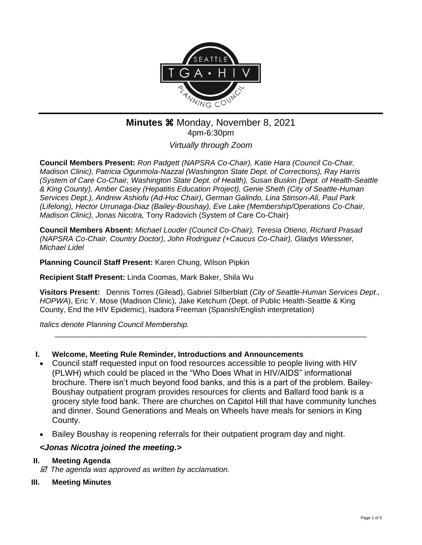

# **Minutes**  $\frac{2021}{20}$ 4pm-6:30pm

*Virtually through Zoom*

**Council Members Present:** *Ron Padgett (NAPSRA Co-Chair), Katie Hara (Council Co-Chair, Madison Clinic), Patricia Ogunmola-Nazzal (Washington State Dept. of Corrections), Ray Harris (System of Care Co-Chair, Washington State Dept. of Health), Susan Buskin (Dept. of Health-Seattle & King County), Amber Casey (Hepatitis Education Project), Genie Sheth (City of Seattle-Human Services Dept.), Andrew Ashiofu (Ad-Hoc Chair), German Galindo, Lina Stinson-Ali, Paul Park (Lifelong), Hector Urrunaga-Diaz (Bailey-Boushay), Eve Lake (Membership/Operations Co-Chair, Madison Clinic), Jonas Nicotra,* Tony Radovich (System of Care Co-Chair)

**Council Members Absent:** *Michael Louder (Council Co-Chair), Teresia Otieno, Richard Prasad (NAPSRA Co-Chair, Country Doctor), John Rodriguez (+Caucus Co-Chair), Gladys Wiessner, Michael Lidel*

**Planning Council Staff Present:** Karen Chung, Wilson Pipkin

**Recipient Staff Present:** Linda Coomas, Mark Baker, Shila Wu

**Visitors Present:** Dennis Torres (Gilead), Gabriel SIlberblatt (*City of Seattle-Human Services Dept., HOPWA*), Eric Y. Mose (Madison Clinic), Jake Ketchum (Dept. of Public Health-Seattle & King County, End the HIV Epidemic), Isadora Freeman (Spanish/English interpretation)

\_\_\_\_\_\_\_\_\_\_\_\_\_\_\_\_\_\_\_\_\_\_\_\_\_\_\_\_\_\_\_\_\_\_\_\_\_\_\_\_\_\_\_\_\_\_\_\_\_\_\_\_\_\_\_\_\_\_\_\_\_\_\_\_\_\_\_\_\_\_\_\_\_\_

*Italics denote Planning Council Membership.* 

## **I. Welcome, Meeting Rule Reminder, Introductions and Announcements**

- Council staff requested input on food resources accessible to people living with HIV (PLWH) which could be placed in the "Who Does What in HIV/AIDS" informational brochure. There isn't much beyond food banks, and this is a part of the problem. Bailey-Boushay outpatient program provides resources for clients and Ballard food bank is a grocery style food bank. There are churches on Capitol Hill that have community lunches and dinner. Sound Generations and Meals on Wheels have meals for seniors in King County.
- Bailey Boushay is reopening referrals for their outpatient program day and night.

# *<Jonas Nicotra joined the meeting.>*

## **II. Meeting Agenda**

 *The agenda was approved as written by acclamation.*

**III. Meeting Minutes**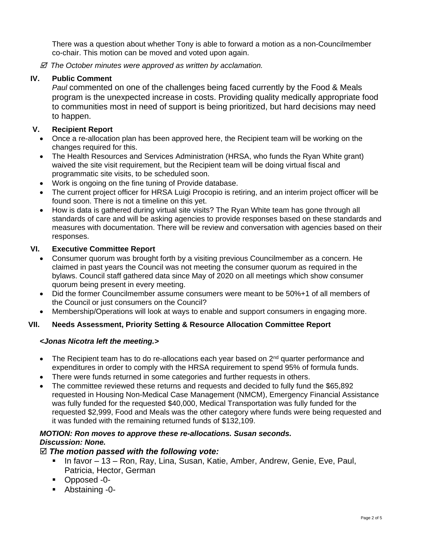There was a question about whether Tony is able to forward a motion as a non-Councilmember co-chair. This motion can be moved and voted upon again.

 *The October minutes were approved as written by acclamation.*

#### **IV. Public Comment**

*Paul* commented on one of the challenges being faced currently by the Food & Meals program is the unexpected increase in costs. Providing quality medically appropriate food to communities most in need of support is being prioritized, but hard decisions may need to happen.

#### **V. Recipient Report**

- Once a re-allocation plan has been approved here, the Recipient team will be working on the changes required for this.
- The Health Resources and Services Administration (HRSA, who funds the Ryan White grant) waived the site visit requirement, but the Recipient team will be doing virtual fiscal and programmatic site visits, to be scheduled soon.
- Work is ongoing on the fine tuning of Provide database.
- The current project officer for HRSA Luigi Procopio is retiring, and an interim project officer will be found soon. There is not a timeline on this yet.
- How is data is gathered during virtual site visits? The Ryan White team has gone through all standards of care and will be asking agencies to provide responses based on these standards and measures with documentation. There will be review and conversation with agencies based on their responses.

#### **VI. Executive Committee Report**

- Consumer quorum was brought forth by a visiting previous Councilmember as a concern. He claimed in past years the Council was not meeting the consumer quorum as required in the bylaws. Council staff gathered data since May of 2020 on all meetings which show consumer quorum being present in every meeting.
- Did the former Councilmember assume consumers were meant to be 50%+1 of all members of the Council or just consumers on the Council?
- Membership/Operations will look at ways to enable and support consumers in engaging more.

#### **VII. Needs Assessment, Priority Setting & Resource Allocation Committee Report**

#### *<Jonas Nicotra left the meeting.>*

- The Recipient team has to do re-allocations each year based on 2<sup>nd</sup> quarter performance and expenditures in order to comply with the HRSA requirement to spend 95% of formula funds.
- There were funds returned in some categories and further requests in others.
- The committee reviewed these returns and requests and decided to fully fund the \$65,892 requested in Housing Non-Medical Case Management (NMCM), Emergency Financial Assistance was fully funded for the requested \$40,000, Medical Transportation was fully funded for the requested \$2,999, Food and Meals was the other category where funds were being requested and it was funded with the remaining returned funds of \$132,109.

## *MOTION: Ron moves to approve these re-allocations. Susan seconds. Discussion: None.*

## *The motion passed with the following vote:*

- In favor 13 Ron, Ray, Lina, Susan, Katie, Amber, Andrew, Genie, Eve, Paul, Patricia, Hector, German
- Opposed -0-
- Abstaining -0-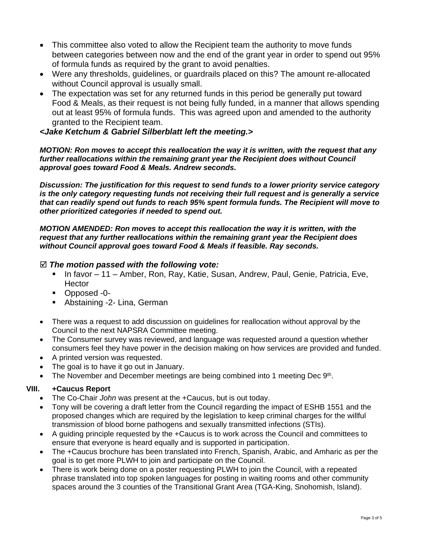- This committee also voted to allow the Recipient team the authority to move funds between categories between now and the end of the grant year in order to spend out 95% of formula funds as required by the grant to avoid penalties.
- Were any thresholds, guidelines, or guardrails placed on this? The amount re-allocated without Council approval is usually small.
- The expectation was set for any returned funds in this period be generally put toward Food & Meals, as their request is not being fully funded, in a manner that allows spending out at least 95% of formula funds. This was agreed upon and amended to the authority granted to the Recipient team.

## *<Jake Ketchum & Gabriel Silberblatt left the meeting.>*

*MOTION: Ron moves to accept this reallocation the way it is written, with the request that any further reallocations within the remaining grant year the Recipient does without Council approval goes toward Food & Meals. Andrew seconds.*

*Discussion: The justification for this request to send funds to a lower priority service category is the only category requesting funds not receiving their full request and is generally a service that can readily spend out funds to reach 95% spent formula funds. The Recipient will move to other prioritized categories if needed to spend out.*

*MOTION AMENDED: Ron moves to accept this reallocation the way it is written, with the request that any further reallocations within the remaining grant year the Recipient does without Council approval goes toward Food & Meals if feasible. Ray seconds.*

## *The motion passed with the following vote:*

- In favor 11 Amber, Ron, Ray, Katie, Susan, Andrew, Paul, Genie, Patricia, Eve, **Hector**
- Opposed -0-
- Abstaining -2- Lina, German
- There was a request to add discussion on guidelines for reallocation without approval by the Council to the next NAPSRA Committee meeting.
- The Consumer survey was reviewed, and language was requested around a question whether consumers feel they have power in the decision making on how services are provided and funded.
- A printed version was requested.
- The goal is to have it go out in January.
- The November and December meetings are being combined into 1 meeting Dec 9<sup>th</sup>.

#### **VIII. +Caucus Report**

- The Co-Chair *John* was present at the +Caucus, but is out today.
- Tony will be covering a draft letter from the Council regarding the impact of ESHB 1551 and the proposed changes which are required by the legislation to keep criminal charges for the willful transmission of blood borne pathogens and sexually transmitted infections (STIs).
- A guiding principle requested by the +Caucus is to work across the Council and committees to ensure that everyone is heard equally and is supported in participation.
- The +Caucus brochure has been translated into French, Spanish, Arabic, and Amharic as per the goal is to get more PLWH to join and participate on the Council.
- There is work being done on a poster requesting PLWH to join the Council, with a repeated phrase translated into top spoken languages for posting in waiting rooms and other community spaces around the 3 counties of the Transitional Grant Area (TGA-King, Snohomish, Island).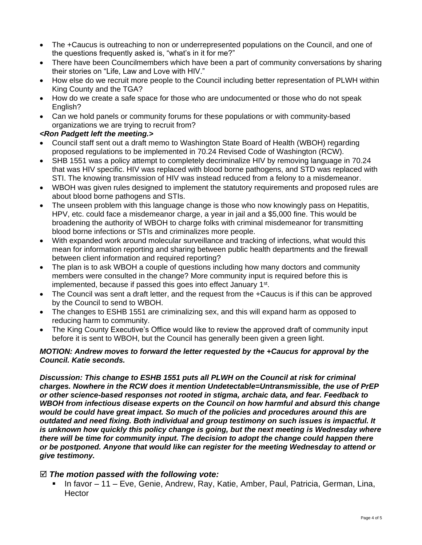- The +Caucus is outreaching to non or underrepresented populations on the Council, and one of the questions frequently asked is, "what's in it for me?"
- There have been Councilmembers which have been a part of community conversations by sharing their stories on "Life, Law and Love with HIV."
- How else do we recruit more people to the Council including better representation of PLWH within King County and the TGA?
- How do we create a safe space for those who are undocumented or those who do not speak English?
- Can we hold panels or community forums for these populations or with community-based organizations we are trying to recruit from?

#### *<Ron Padgett left the meeting.>*

- Council staff sent out a draft memo to Washington State Board of Health (WBOH) regarding proposed regulations to be implemented in 70.24 Revised Code of Washington (RCW).
- SHB 1551 was a policy attempt to completely decriminalize HIV by removing language in 70.24 that was HIV specific. HIV was replaced with blood borne pathogens, and STD was replaced with STI. The knowing transmission of HIV was instead reduced from a felony to a misdemeanor.
- WBOH was given rules designed to implement the statutory requirements and proposed rules are about blood borne pathogens and STIs.
- The unseen problem with this language change is those who now knowingly pass on Hepatitis, HPV, etc. could face a misdemeanor charge, a year in jail and a \$5,000 fine. This would be broadening the authority of WBOH to charge folks with criminal misdemeanor for transmitting blood borne infections or STIs and criminalizes more people.
- With expanded work around molecular surveillance and tracking of infections, what would this mean for information reporting and sharing between public health departments and the firewall between client information and required reporting?
- The plan is to ask WBOH a couple of questions including how many doctors and community members were consulted in the change? More community input is required before this is implemented, because if passed this goes into effect January 1<sup>st</sup>.
- The Council was sent a draft letter, and the request from the +Caucus is if this can be approved by the Council to send to WBOH.
- The changes to ESHB 1551 are criminalizing sex, and this will expand harm as opposed to reducing harm to community.
- The King County Executive's Office would like to review the approved draft of community input before it is sent to WBOH, but the Council has generally been given a green light.

#### *MOTION: Andrew moves to forward the letter requested by the +Caucus for approval by the Council. Katie seconds.*

*Discussion: This change to ESHB 1551 puts all PLWH on the Council at risk for criminal charges. Nowhere in the RCW does it mention Undetectable=Untransmissible, the use of PrEP or other science-based responses not rooted in stigma, archaic data, and fear. Feedback to WBOH from infectious disease experts on the Council on how harmful and absurd this change would be could have great impact. So much of the policies and procedures around this are outdated and need fixing. Both individual and group testimony on such issues is impactful. It is unknown how quickly this policy change is going, but the next meeting is Wednesday where there will be time for community input. The decision to adopt the change could happen there or be postponed. Anyone that would like can register for the meeting Wednesday to attend or give testimony.*

#### *The motion passed with the following vote:*

▪ In favor – 11 – Eve, Genie, Andrew, Ray, Katie, Amber, Paul, Patricia, German, Lina, **Hector**